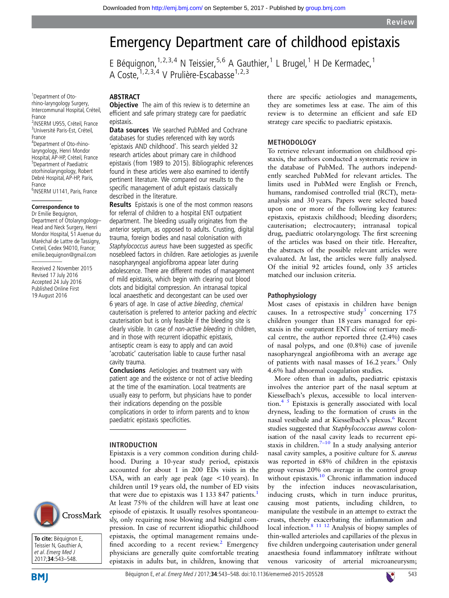# Emergency Department care of childhood epistaxis

E Béquignon,  $1,2,3,4$  N Teissier,  $5,6$  A Gauthier,  $1$  L Brugel,  $1$  H De Kermadec,  $1$ A Coste,  $1,2,3,4$  V Prulière-Escabasse  $1,2,3$ 

<sup>1</sup>Department of Otorhino-laryngology Surgery, Intercommunal Hospital, Créteil, France

2 INSERM U955, Créteil, France <sup>3</sup>Université Paris-Est, Créteil, France

4 Department of Oto-rhinolaryngology, Henri Mondor Hospital, AP-HP, Créteil, France <sup>5</sup>Department of Paediatric otorhinolaryngology, Robert Debré Hospital, AP-HP, Paris, France

6 INSERM U1141, Paris, France

# **Correspondence to**

Dr Emilie Bequignon, Department of Otolaryngology– Head and Neck Surgery, Henri Mondor Hospital, 51 Avenue du Maréchal de Lattre de Tassigny, Creteil, Cedex 94010, France; emilie.bequignon@gmail.com

Received 2 November 2015 Revised 17 July 2016 Accepted 24 July 2016 Published Online First 19 August 2016

# ABSTRACT

**Objective** The aim of this review is to determine an efficient and safe primary strategy care for paediatric epistaxis.

Data sources We searched PubMed and Cochrane databases for studies referenced with key words 'epistaxis AND childhood'. This search yielded 32 research articles about primary care in childhood epistaxis (from 1989 to 2015). Bibliographic references found in these articles were also examined to identify pertinent literature. We compared our results to the specific management of adult epistaxis classically described in the literature.

Results Epistaxis is one of the most common reasons for referral of children to a hospital ENT outpatient department. The bleeding usually originates from the anterior septum, as opposed to adults. Crusting, digital trauma, foreign bodies and nasal colonisation with Staphylococcus aureus have been suggested as specific nosebleed factors in children. Rare aetiologies as juvenile nasopharyngeal angiofibroma appear later during adolescence. There are different modes of management of mild epistaxis, which begin with clearing out blood clots and bidigital compression. An intranasal topical local anaesthetic and decongestant can be used over 6 years of age. In case of active bleeding, chemical cauterisation is preferred to anterior packing and electric cauterisation but is only feasible if the bleeding site is clearly visible. In case of non-active bleeding in children, and in those with recurrent idiopathic epistaxis, antiseptic cream is easy to apply and can avoid 'acrobatic' cauterisation liable to cause further nasal cavity trauma.

Conclusions Aetiologies and treatment vary with patient age and the existence or not of active bleeding at the time of the examination. Local treatments are usually easy to perform, but physicians have to ponder their indications depending on the possible complications in order to inform parents and to know paediatric epistaxis specificities.

#### INTRODUCTION

Epistaxis is a very common condition during childhood. During a 10-year study period, epistaxis accounted for about 1 in 200 EDs visits in the USA, with an early age peak (age <10 years). In children until 19 years old, the number of ED visits that were due to epistaxis was [1](#page-4-0) 133 847 patients.<sup>1</sup> At least 75% of the children will have at least one episode of epistaxis. It usually resolves spontaneously, only requiring nose blowing and bidigital compression. In case of recurrent idiopathic childhood epistaxis, the optimal management remains unde-fined according to a recent review.<sup>[2](#page-4-0)</sup> Emergency physicians are generally quite comfortable treating epistaxis in adults but, in children, knowing that

there are specific aetiologies and managements, they are sometimes less at ease. The aim of this review is to determine an efficient and safe ED strategy care specific to paediatric epistaxis.

# METHODOLOGY

To retrieve relevant information on childhood epistaxis, the authors conducted a systematic review in the database of PubMed. The authors independently searched PubMed for relevant articles. The limits used in PubMed were English or French, humans, randomised controlled trial (RCT), metaanalysis and 30 years. Papers were selected based upon one or more of the following key features: epistaxis, epistaxis childhood; bleeding disorders; cauterisation; electrocautery; intranasal topical drug, paediatric otolaryngology. The first screening of the articles was based on their title. Hereafter, the abstracts of the possible relevant articles were evaluated. At last, the articles were fully analysed. Of the initial 92 articles found, only 35 articles matched our inclusion criteria.

#### Pathophysiology

Most cases of epistaxis in children have benign causes. In a retrospective study<sup>[3](#page-4-0)</sup> concerning  $175$ children younger than 18 years managed for epistaxis in the outpatient ENT clinic of tertiary medical centre, the author reported three (2.4%) cases of nasal polyps, and one (0.8%) case of juvenile nasopharyngeal angiofibroma with an average age of patients with nasal masses of  $16.2$  years.<sup>[3](#page-4-0)</sup> Only 4.6% had abnormal coagulation studies.

More often than in adults, paediatric epistaxis involves the anterior part of the nasal septum at Kiesselbach's plexus, accessible to local intervention.[4 5](#page-4-0) Epistaxis is generally associated with local dryness, leading to the formation of crusts in the nasal vestibule and at Kiesselbach's plexus.<sup>[6](#page-4-0)</sup> Recent studies suggested that Staphylococcus aureus colonisation of the nasal cavity leads to recurrent epi-staxis in children.<sup>7-[10](#page-4-0)</sup> In a study analysing anterior nasal cavity samples, a positive culture for S. aureus was reported in 68% of children in the epistaxis group versus 20% on average in the control group without epistaxis.<sup>[10](#page-4-0)</sup> Chronic inflammation induced by the infection induces neovascularisation, inducing crusts, which in turn induce pruritus, causing most patients, including children, to manipulate the vestibule in an attempt to extract the crusts, thereby exacerbating the inflammation and local infection[.8 11 12](#page-4-0) Analysis of biopsy samples of thin-walled arterioles and capillaries of the plexus in five children undergoing cauterisation under general anaesthesia found inflammatory infiltrate without venous varicosity of arterial microaneurysm;





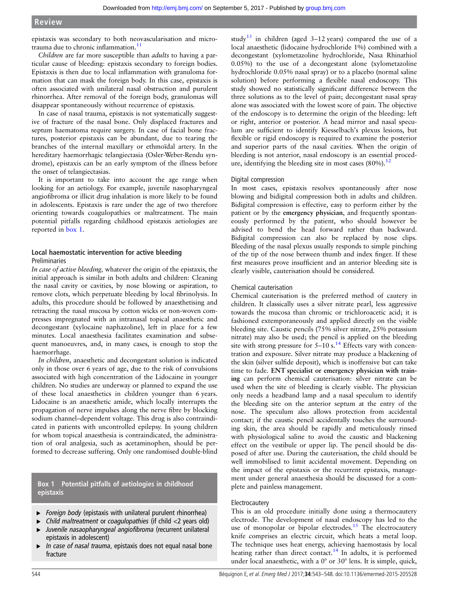epistaxis was secondary to both neovascularisation and micro-trauma due to chronic inflammation.<sup>[11](#page-4-0)</sup>

Children are far more susceptible than *adults* to having a particular cause of bleeding: epistaxis secondary to foreign bodies. Epistaxis is then due to local inflammation with granuloma formation that can mask the foreign body. In this case, epistaxis is often associated with unilateral nasal obstruction and purulent rhinorrhea. After removal of the foreign body, granulomas will disappear spontaneously without recurrence of epistaxis.

In case of nasal trauma, epistaxis is not systematically suggestive of fracture of the nasal bone. Only displaced fractures and septum haematoma require surgery. In case of facial bone fractures, posterior epistaxis can be abundant, due to tearing the branches of the internal maxillary or ethmoïdal artery. In the hereditary haemorrhagic telangiectasia (Osler-Weber-Rendu syndrome), epistaxis can be an early symptom of the illness before the onset of telangiectasias.

It is important to take into account the age range when looking for an aetiology. For example, juvenile nasopharyngeal angiofibroma or illicit drug inhalation is more likely to be found in adolescents. Epistaxis is rare under the age of two therefore orienting towards coagulopathies or maltreatment. The main potential pitfalls regarding childhood epistaxis aetiologies are reported in box 1.

## Local haemostatic intervention for active bleeding Preliminaries

In case of active bleeding, whatever the origin of the epistaxis, the initial approach is similar in both adults and children: Cleaning the nasal cavity or cavities, by nose blowing or aspiration, to remove clots, which perpetuate bleeding by local fibrinolysis. In adults, this procedure should be followed by anaesthetising and retracting the nasal mucosa by cotton wicks or non-woven compresses impregnated with an intranasal topical anaesthetic and decongestant (xylocaine naphazoline), left in place for a few minutes. Local anaesthesia facilitates examination and subsequent manoeuvres, and, in many cases, is enough to stop the haemorrhage.

In children, anaesthetic and decongestant solution is indicated only in those over 6 years of age, due to the risk of convulsions associated with high concentration of the Lidocaine in younger children. No studies are underway or planned to expand the use of these local anaesthetics in children younger than 6 years. Lidocaine is an anaesthetic amide, which locally interrupts the propagation of nerve impulses along the nerve fibre by blocking sodium channel–dependent voltage. This drug is also contraindicated in patients with uncontrolled epilepsy. In young children for whom topical anaesthesia is contraindicated, the administration of oral analgesia, such as acetaminophen, should be performed to decrease suffering. Only one randomised double-blind

Box 1 Potential pitfalls of aetiologies in childhood epistaxis

- $\triangleright$  Foreign body (epistaxis with unilateral purulent rhinorrhea)
- $\triangleright$  Child maltreatment or coagulopathies (if child <2 years old)
- ▸ Juvenile nasaopharyngeal angiofibroma (recurrent unilateral epistaxis in adolescent)
- In case of nasal trauma, epistaxis does not equal nasal bone fracture

study<sup>[13](#page-4-0)</sup> in children (aged 3–12 years) compared the use of a local anaesthetic (lidocaine hydrochloride 1%) combined with a decongestant (xylometazoline hydrochloride, Nasa Rhinathiol 0.05%) to the use of a decongestant alone (xylometazoline hydrochloride 0.05% nasal spray) or to a placebo (normal saline solution) before performing a flexible nasal endoscopy. This study showed no statistically significant difference between the three solutions as to the level of pain; decongestant nasal spray alone was associated with the lowest score of pain. The objective of the endoscopy is to determine the origin of the bleeding: left or right, anterior or posterior. A head mirror and nasal speculum are sufficient to identify Kiesselbach's plexus lesions, but flexible or rigid endoscopy is required to examine the posterior and superior parts of the nasal cavities. When the origin of bleeding is not anterior, nasal endoscopy is an essential procedure, identifying the bleeding site in most cases  $(80\%)$ .<sup>[12](#page-4-0)</sup>

#### Digital compression

In most cases, epistaxis resolves spontaneously after nose blowing and bidigital compression both in adults and children. Bidigital compression is effective, easy to perform either by the patient or by the emergency physician, and frequently spontaneously performed by the patient, who should however be advised to bend the head forward rather than backward. Bidigital compression can also be replaced by nose clips. Bleeding of the nasal plexus usually responds to simple pinching of the tip of the nose between thumb and index finger. If these first measures prove insufficient and an anterior bleeding site is clearly visible, cauterisation should be considered.

#### Chemical cauterisation

Chemical cauterisation is the preferred method of cautery in children. It classically uses a silver nitrate pearl, less aggressive towards the mucosa than chromic or trichloroacetic acid; it is fashioned extemporaneously and applied directly on the visible bleeding site. Caustic pencils (75% silver nitrate, 25% potassium nitrate) may also be used; the pencil is applied on the bleeding site with strong pressure for  $5-10$  s.<sup>[14](#page-4-0)</sup> Effects vary with concentration and exposure. Silver nitrate may produce a blackening of the skin (silver sulfide deposit), which is inoffensive but can take time to fade. ENT specialist or emergency physician with training can perform chemical cauterisation: silver nitrate can be used when the site of bleeding is clearly visible. The physician only needs a headband lamp and a nasal speculum to identify the bleeding site on the anterior septum at the entry of the nose. The speculum also allows protection from accidental contact; if the caustic pencil accidentally touches the surrounding skin, the area should be rapidly and meticulously rinsed with physiological saline to avoid the caustic and blackening effect on the vestibule or upper lip. The pencil should be disposed of after use. During the cauterisation, the child should be well immobilised to limit accidental movement. Depending on the impact of the epistaxis or the recurrent epistaxis, management under general anaesthesia should be discussed for a complete and painless management.

#### **Electrocautery**

This is an old procedure initially done using a thermocautery electrode. The development of nasal endoscopy has led to the use of monopolar or bipolar electrodes.<sup>[15](#page-4-0)</sup> The electrocautery knife comprises an electric circuit, which heats a metal loop. The technique uses heat energy, achieving haemostasis by local heating rather than direct contact.<sup>[14](#page-4-0)</sup> In adults, it is performed under local anaesthetic, with a 0° or 30° lens. It is simple, quick,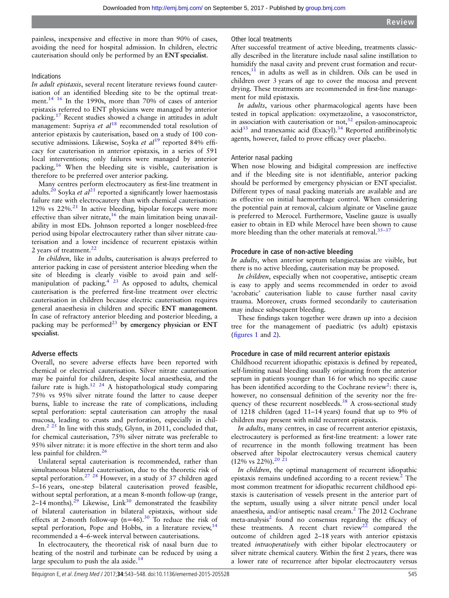painless, inexpensive and effective in more than 90% of cases, avoiding the need for hospital admission. In children, electric cauterisation should only be performed by an ENT specialist.

## Indications

In adult epistaxis, several recent literature reviews found cauterisation of an identified bleeding site to be the optimal treatment.[14 16](#page-4-0) In the 1990s, more than 70% of cases of anterior epistaxis referred to ENT physicians were managed by anterior packing.[17](#page-4-0) Recent studies showed a change in attitudes in adult management: Supriya et  $al^{18}$  $al^{18}$  $al^{18}$  recommended total resolution of anterior epistaxis by cauterisation, based on a study of 100 consecutive admissions. Likewise, Soyka et  $al^{19}$  $al^{19}$  $al^{19}$  reported 84% efficacy for cauterisation in anterior epistaxis, in a series of 591 local interventions; only failures were managed by anterior packing.[16](#page-4-0) When the bleeding site is visible, cauterisation is therefore to be preferred over anterior packing.

Many centres perform electrocautery as first-line treatment in adults.<sup>20</sup> Soyka et  $al^{21}$  $al^{21}$  $al^{21}$  reported a significantly lower haemostasis failure rate with electrocautery than with chemical cauterisation: 12% vs 22%[.21](#page-4-0) In active bleeding, bipolar forceps were more effective than silver nitrate,  $16$  the main limitation being unavailability in most EDs. Johnson reported a longer nosebleed-free period using bipolar electrocautery rather than silver nitrate cauterisation and a lower incidence of recurrent epistaxis within 2 years of treatment.<sup>[22](#page-4-0)</sup>

In children, like in adults, cauterisation is always preferred to anterior packing in case of persistent anterior bleeding when the site of bleeding is clearly visible to avoid pain and selfmanipulation of packing. $4^{23}$  As opposed to adults, chemical cauterisation is the preferred first-line treatment over electric cauterisation in children because electric cauterisation requires general anaesthesia in children and specifi<sup>c</sup> ENT management. In case of refractory anterior bleeding and posterior bleeding, a packing may be performed<sup>[23](#page-4-0)</sup> by emergency physician or ENT specialist.

## Adverse effects

Overall, no severe adverse effects have been reported with chemical or electrical cauterisation. Silver nitrate cauterisation may be painful for children, despite local anaesthesia, and the may be painted to constraint,  $\frac{1}{2}$  and  $\frac{1}{2}$  and  $\frac{1}{2}$  and  $\frac{1}{2}$  and  $\frac{1}{2}$  and  $\frac{1}{2}$  and  $\frac{1}{2}$  and  $\frac{1}{2}$  and  $\frac{1}{2}$  and  $\frac{1}{2}$  and  $\frac{1}{2}$  and  $\frac{1}{2}$  and  $\frac{1}{2}$  and  $\frac{1}{2}$ 75% vs 95% silver nitrate found the latter to cause deeper burns, liable to increase the rate of complications, including septal perforation: septal cauterisation can atrophy the nasal mucosa, leading to crusts and perforation, especially in chil-dren.<sup>[2 25](#page-4-0)</sup> In line with this study, Glynn, in 2011, concluded that, for chemical cauterisation, 75% silver nitrate was preferable to 95% silver nitrate: it is more effective in the short term and also less painful for children.<sup>[26](#page-4-0)</sup>

Unilateral septal cauterisation is recommended, rather than simultaneous bilateral cauterisation, due to the theoretic risk of septal perforation.<sup>27</sup> <sup>28</sup> However, in a study of 37 children aged 5–16 years, one-step bilateral cauterisation proved feasible, without septal perforation, at a mean 8-month follow-up (range, 2–14 months).<sup>[29](#page-4-0)</sup> Likewise, Link<sup>[30](#page-4-0)</sup> demonstrated the feasibility of bilateral cauterisation in bilateral epistaxis, without side effects at 2-month follow-up ( $n=46$ ).<sup>[30](#page-4-0)</sup> To reduce the risk of septal perforation, Pope and Hobbs, in a literature review,  $14$ recommended a 4–6-week interval between cauterisations.

In electrocautery, the theoretical risk of nasal burn due to heating of the nostril and turbinate can be reduced by using a large speculum to push the ala aside. $14$ 

# Other local treatments

After successful treatment of active bleeding, treatments classically described in the literature include nasal saline instillation to humidify the nasal cavity and prevent crust formation and recur $r$ ences, $3<sup>1</sup>$  in adults as well as in children. Oils can be used in children over 3 years of age to cover the mucosa and prevent drying. These treatments are recommended in first-line management for mild epistaxis.

In adults, various other pharmacological agents have been tested in topical application: oxymetazoline, a vasoconstrictor, in association with cauterisation or not,  $32$  epsilon-aminocaproic acid<sup>[33](#page-4-0)</sup> and tranexamic acid (Exacyl).<sup>[34](#page-5-0)</sup> Reported antifibrinolytic agents, however, failed to prove efficacy over placebo.

#### Anterior nasal packing

When nose blowing and bidigital compression are ineffective and if the bleeding site is not identifiable, anterior packing should be performed by emergency physician or ENT specialist. Different types of nasal packing materials are available and are as effective on initial haemorrhage control. When considering the potential pain at removal, calcium alginate or Vaseline gauze is preferred to Merocel. Furthermore, Vaseline gauze is usually easier to obtain in ED while Merocel have been shown to cause more bleeding than the other materials at removal. $35-37$  $35-37$ 

#### Procedure in case of non-active bleeding

In adults, when anterior septum telangiectasias are visible, but there is no active bleeding, cauterisation may be proposed.

In children, especially when not cooperative, antiseptic cream is easy to apply and seems recommended in order to avoid 'acrobatic' cauterisation liable to cause further nasal cavity trauma. Moreover, crusts formed secondarily to cauterisation may induce subsequent bleeding.

These findings taken together were drawn up into a decision tree for the management of paediatric (vs adult) epistaxis (fi[gures 1](#page-3-0) and [2](#page-3-0)).

## Procedure in case of mild recurrent anterior epistaxis

Childhood recurrent idiopathic epistaxis is defined by repeated, self-limiting nasal bleeding usually originating from the anterior septum in patients younger than 16 for which no specific cause has been identified according to the Cochrane review<sup>[2](#page-4-0)</sup>: there is, however, no consensual definition of the severity nor the fre-quency of these recurrent nosebleeds.<sup>[38](#page-5-0)</sup> A cross-sectional study of 1218 children (aged 11–14 years) found that up to 9% of children may present with mild recurrent epistaxis.

In adults, many centres, in case of recurrent anterior epistaxis, electrocautery is performed as first-line treatment: a lower rate of recurrence in the month following treatment has been observed after bipolar electrocautery versus chemical cautery  $(12\% \text{ vs } 22\%).^{20}$ 

In children, the optimal management of recurrent idiopathic epistaxis remains undefined according to a recent review. $^2$  $^2$  The most common treatment for idiopathic recurrent childhood epistaxis is cauterisation of vessels present in the anterior part of the septum, usually using a silver nitrate pencil under local anaesthesia, and/or antiseptic nasal cream.<sup>[2](#page-4-0)</sup> The 2012 Cochrane  $meta-analysis<sup>2</sup>$  $meta-analysis<sup>2</sup>$  $meta-analysis<sup>2</sup>$  found no consensus regarding the efficacy of these treatments. A recent chart review<sup>[22](#page-4-0)</sup> compared the outcome of children aged 2–18 years with anterior epistaxis treated intraoperatively with either bipolar electrocautery or silver nitrate chemical cautery. Within the first 2 years, there was a lower rate of recurrence after bipolar electrocautery versus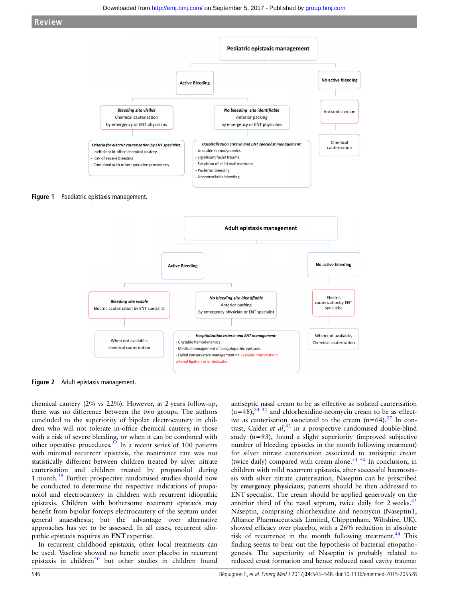<span id="page-3-0"></span>

Figure 1 Paediatric epistaxis management.



Figure 2 Adult epistaxis management.

chemical cautery (2% vs 22%). However, at 2 years follow-up, there was no difference between the two groups. The authors concluded to the superiority of bipolar electrocautery in children who will not tolerate in-office chemical cautery, in those with a risk of severe bleeding, or when it can be combined with other operative procedures. $^{22}$  $^{22}$  $^{22}$  In a recent series of 100 patients with minimal recurrent epistaxis, the recurrence rate was not statistically different between children treated by silver nitrate cauterisation and children treated by propanolol during 1 month.<sup>[39](#page-5-0)</sup> Further prospective randomised studies should now be conducted to determine the respective indications of propanolol and electrocautery in children with recurrent idiopathic epistaxis. Children with bothersome recurrent epistaxis may benefit from bipolar forceps electrocautery of the septum under general anaesthesia; but the advantage over alternative approaches has yet to be assessed. In all cases, recurrent idiopathic epistaxis requires an ENT expertise.

In recurrent childhood epistaxis, other local treatments can be used. Vaseline showed no benefit over placebo in recurrent epistaxis in children<sup>[40](#page-5-0)</sup> but other studies in children found

antiseptic nasal cream to be as effective as isolated cauterisation  $(n=48)$ ,<sup>24 [41](#page-5-0)</sup> and chlorhexidine-neomycin cream to be as effective as cauterisation associated to the cream  $(n=64)$ .<sup>[27](#page-4-0)</sup> In contrast, Calder et  $al$ ,<sup>[42](#page-5-0)</sup> in a prospective randomised double-blind study (n=93), found a slight superiority (improved subjective number of bleeding episodes in the month following treatment) for silver nitrate cauterisation associated to antiseptic cream (twice daily) compared with cream alone. $31$  [42](#page-5-0) In conclusion, in children with mild recurrent epistaxis, after successful haemostasis with silver nitrate cauterisation, Naseptin can be prescribed by emergency physicians; patients should be then addressed to ENT specialist. The cream should be applied generously on the anterior third of the nasal septum, twice daily for  $2$  weeks.<sup>[43](#page-5-0)</sup> Naseptin, comprising chlorhexidine and neomycin (Naseptin1, Alliance Pharmaceuticals Limited, Chippenham, Wiltshire, UK), showed efficacy over placebo, with a 26% reduction in absolute risk of recurrence in the month following treatment.<sup>[44](#page-5-0)</sup> This finding seems to bear out the hypothesis of bacterial etiopathogenesis. The superiority of Naseptin is probably related to reduced crust formation and hence reduced nasal cavity trauma: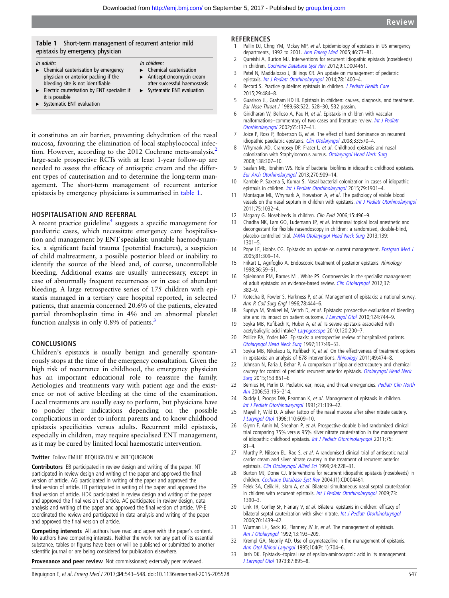#### <span id="page-4-0"></span>Table 1 Short-term management of recurrent anterior mild epistaxis by emergency physician

| In adults:                                                                                         | In children:                                                                                    |
|----------------------------------------------------------------------------------------------------|-------------------------------------------------------------------------------------------------|
| $\blacktriangleright$ Chemical cauterisation by emergency<br>physician or anterior packing if the  | $\blacktriangleright$ Chemical cauterisation<br>$\blacktriangleright$ Antiseptic/neomycin cream |
| bleeding site is not identifiable<br>Electric cauterisation by ENT specialist if<br>it is possible | after successful haemostasis<br>Systematic ENT evaluation                                       |

▸ Systematic ENT evaluation

it constitutes an air barrier, preventing dehydration of the nasal mucosa, favouring the elimination of local staphylococcal infection. However, according to the 2012 Cochrane meta-analysis,<sup>2</sup> large-scale prospective RCTs with at least 1-year follow-up are needed to assess the efficacy of antiseptic cream and the different types of cauterisation and to determine the long-term management. The short-term management of recurrent anterior epistaxis by emergency physicians is summarised in table 1.

## HOSPITALISATION AND REFERRAL

A recent practice guideline<sup>4</sup> suggests a specific management for paediatric cases, which necessitate emergency care hospitalisation and management by ENT specialist: unstable haemodynamics, a significant facial trauma (potential fractures), a suspicion of child maltreatment, a possible posterior bleed or inability to identify the source of the bleed and, of course, uncontrollable bleeding. Additional exams are usually unnecessary, except in case of abnormally frequent recurrences or in case of abundant bleeding. A large retrospective series of 175 children with epistaxis managed in a tertiary care hospital reported, in selected patients, that anaemia concerned 20.6% of the patients, elevated partial thromboplastin time in 4% and an abnormal platelet function analysis in only 0.8% of patients.<sup>3</sup>

#### CONCLUSIONS

Children's epistaxis is usually benign and generally spontaneously stops at the time of the emergency consultation. Given the high risk of recurrence in childhood, the emergency physician has an important educational role to reassure the family. Aetiologies and treatments vary with patient age and the existence or not of active bleeding at the time of the examination. Local treatments are usually easy to perform, but physicians have to ponder their indications depending on the possible complications in order to inform parents and to know childhood epistaxis specificities versus adults. Recurrent mild epistaxis, especially in children, may require specialised ENT management, as it may be cured by limited local haemostatic intervention.

#### Twitter Follow EMILIE BEQUIGNON at [@BEQUIGNON](http://twitter.com/BEQUIGNON)

Contributors EB participated in review design and writing of the paper. NT participated in review design and writing of the paper and approved the final version of article. AG participated in writing of the paper and approved the final version of article. LB participated in writing of the paper and approved the final version of article. HDK participated in review design and writing of the paper and approved the final version of article. AC participated in review design, data analysis and writing of the paper and approved the final version of article. VP-E coordinated the review and participated in data analysis and writing of the paper and approved the final version of article.

Competing interests All authors have read and agree with the paper's content. No authors have competing interests. Neither the work nor any part of its essential substance, tables or figures have been or will be published or submitted to another scientific journal or are being considered for publication elsewhere.

**Provenance and peer review** Not commissioned; externally peer reviewed.

#### **REFERENCES**

- 1 Pallin DJ, Chng YM, Mckay MP, et al. Epidemiology of epistaxis in US emergency departments, 1992 to 2001. [Ann Emerg Med](http://dx.doi.org/10.1016/j.annemergmed.2004.12.014) 2005;46:77–81.
- 2 Qureishi A, Burton MJ. Interventions for recurrent idiopathic epistaxis (nosebleeds) in children. [Cochrane Database Syst Rev](http://dx.doi.org/10.1002/14651858.CD004461.pub3) 2012:9:CD004461.
- 3 Patel N, Maddalozzo J, Billings KR. An update on management of pediatric epistaxis. [Int J Pediatr Otorhinolaryngol](http://dx.doi.org/10.1016/j.ijporl.2014.06.009) 2014;78:1400–4.
- 4 Record S. Practice quideline: epistaxis in children. [J Pediatr Health Care](http://dx.doi.org/10.1016/j.pedhc.2015.06.002) 2015;29:484–8.
- 5 Guarisco JL, Graham HD III. Epistaxis in children: causes, diagnosis, and treatment. Ear Nose Throat J 1989;68:522, 528–30, 532 passim.
- Giridharan W, Belloso A, Pau H, et al. Epistaxis in children with vascular malformations--commentary of two cases and literature review. [Int J Pediatr](http://dx.doi.org/10.1016/S0165-5876(02)00079-4) [Otorhinolaryngol](http://dx.doi.org/10.1016/S0165-5876(02)00079-4) 2002;65:137–41.
- 7 Joice P, Ross P, Robertson G, et al. The effect of hand dominance on recurrent idiopathic paediatric epistaxis. [Clin Otolaryngol](http://dx.doi.org/10.1111/j.1749-4486.2008.01831.x) 2008;33:570-4.
- Whymark AD, Crampsey DP, Fraser L, et al. Childhood epistaxis and nasal colonization with Staphylococcus aureus. [Otolaryngol Head Neck Surg](http://dx.doi.org/10.1016/j.otohns.2007.10.029) 2008;138:307–10.
- 9 Saafan ME, Ibrahim WS. Role of bacterial biofilms in idiopathic childhood epistaxis. [Eur Arch Otorhinolaryngol](http://dx.doi.org/10.1007/s00405-012-2132-2) 2013;270:909–14.
- 10 Kamble P, Saxena S, Kumar S. Nasal bacterial colonization in cases of idiopathic epistaxis in children. [Int J Pediatr Otorhinolaryngol](http://dx.doi.org/10.1016/j.ijporl.2015.08.041) 2015;79:1901-4.
- 11 Montague ML, Whymark A, Howatson A, et al. The pathology of visible blood vessels on the nasal septum in children with epistaxis. [Int J Pediatr Otorhinolaryngol](http://dx.doi.org/10.1016/j.ijporl.2011.05.011) 2011;75:1032–4.
- 12 Mcgarry G. Nosebleeds in children. Clin Evid 2006;15:496-9.
- 13 Chadha NK, Lam GO, Ludemann JP, et al. Intranasal topical local anesthetic and decongestant for flexible nasendoscopy in children: a randomized, double-blind, placebo-controlled trial. [JAMA Otolaryngol Head Neck Surg](http://dx.doi.org/10.1001/jamaoto.2013.5297) 2013;139: 1301–5.
- 14 Pope LE, Hobbs CG. Epistaxis: an update on current management. [Postgrad Med J](http://dx.doi.org/10.1136/pgmj.2004.025007) 2005;81:309–14.
- 15 Frikart L, Agrifoglio A. Endoscopic treatment of posterior epistaxis. Rhinology 1998;36:59–61.
- 16 Spielmann PM, Barnes ML, White PS. Controversies in the specialist management of adult epistaxis: an evidence-based review. *[Clin Otolaryngol](http://dx.doi.org/10.1111/coa.12024)* 2012;37: 382–9.
- 17 Kotecha B, Fowler S, Harkness P, et al. Management of epistaxis: a national survey. Ann R Coll Surg Engl 1996;78:444–6.
- 18 Supriya M, Shakeel M, Veitch D, et al. Epistaxis: prospective evaluation of bleeding site and its impact on patient outcome. [J Laryngol Otol](http://dx.doi.org/10.1017/S0022215110000411) 2010;124:744-9.
- 19 Soyka MB, Rufibach K, Huber A, et al. Is severe epistaxis associated with acetylsalicylic acid intake? [Laryngoscope](http://dx.doi.org/10.1002/lary.20695) 2010;120:200-7.
- 20 Pollice PA, Yoder MG. Epistaxis: a retrospective review of hospitalized patients. [Otolaryngol Head Neck Surg](http://dx.doi.org/10.1016/S0194-5998(97)70205-5) 1997;117:49–53.
- 21 Soyka MB, Nikolaou G, Rufibach K, et al. On the effectiveness of treatment options in epistaxis: an analysis of 678 interventions. [Rhinology](http://dx.doi.org/10.4193/Rhino10.313) 2011;49:474-8.
- 22 Johnson N, Faria J, Behar P. A comparison of bipolar electrocautery and chemical cautery for control of pediatric recurrent anterior epistaxis. [Otolaryngol Head Neck](http://dx.doi.org/10.1177/0194599815589583) [Surg](http://dx.doi.org/10.1177/0194599815589583) 2015;153:851–6.
- 23 Bernius M, Perlin D. Pediatric ear, nose, and throat emergencies. [Pediatr Clin North](http://dx.doi.org/10.1016/j.pcl.2005.10.002) [Am](http://dx.doi.org/10.1016/j.pcl.2005.10.002) 2006;53:195–214.
- 24 Ruddy J, Proops DW, Pearman K, et al. Management of epistaxis in children. [Int J Pediatr Otorhinolaryngol](http://dx.doi.org/10.1016/0165-5876(91)90144-Z) 1991;21:139–42.
- 25 Mayall F, Wild D. A silver tattoo of the nasal mucosa after silver nitrate cautery. [J Laryngol Otol](http://dx.doi.org/10.1017/S0022215100134395) 1996;110:609–10.
- 26 Glynn F, Amin M, Sheahan P, et al. Prospective double blind randomized clinical trial comparing 75% versus 95% silver nitrate cauterization in the management of idiopathic childhood epistaxis. *[Int J Pediatr Otorhinolaryngol](http://dx.doi.org/10.1016/j.ijporl.2010.10.014)* 2011;75: 81–4.
- 27 Murthy P, Nilssen EL, Rao S, et al. A randomised clinical trial of antiseptic nasal carrier cream and silver nitrate cautery in the treatment of recurrent anterior epistaxis. [Clin Otolaryngol Allied Sci](http://dx.doi.org/10.1046/j.1365-2273.1999.00236.x) 1999;24:228-31.
- 28 Burton MJ, Doree CJ. Interventions for recurrent idiopathic epistaxis (nosebleeds) in children. [Cochrane Database Syst Rev](http://dx.doi.org/10.1002/14651858.CD004461.pub2) 2004;(1):CD004461.
- 29 Felek SA, Celik H, Islam A, et al. Bilateral simultaneous nasal septal cauterization in children with recurrent epistaxis. [Int J Pediatr Otorhinolaryngol](http://dx.doi.org/10.1016/j.ijporl.2009.06.023) 2009;73: 1390–3.
- 30 Link TR, Conley SF, Flanary V, et al. Bilateral epistaxis in children: efficacy of bilateral septal cauterization with silver nitrate. [Int J Pediatr Otorhinolaryngol](http://dx.doi.org/10.1016/j.ijporl.2006.03.003) 2006;70:1439–42.
- 31 Wurman LH, Sack JG, Flannery JV Jr, et al. The management of epistaxis. [Am J Otolaryngol](http://dx.doi.org/10.1016/0196-0709(92)90024-N) 1992;13:193–209.
- 32 Krempl GA, Noorily AD. Use of oxymetazoline in the management of epistaxis. [Ann Otol Rhinol Laryngol](http://dx.doi.org/10.1177/000348949510400906) 1995;104(Pt 1):704–6.
- Jash DK. Epistaxis--topical use of epsilon-aminocaproic acid in its management. [J Laryngol Otol](http://dx.doi.org/10.1017/S002221510007777X) 1973;87:895–8.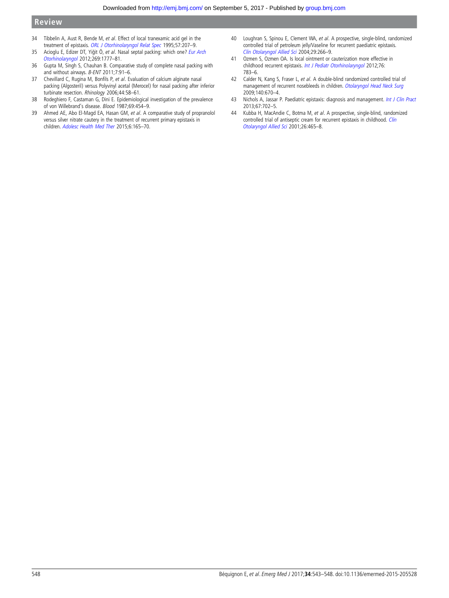# <span id="page-5-0"></span>**Review**

- 34 Tibbelin A, Aust R, Bende M, et al. Effect of local tranexamic acid gel in the treatment of epistaxis. [ORL J Otorhinolaryngol Relat Spec](http://dx.doi.org/10.1159/000276741) 1995;57:207-9.
- 35 Acioglu E, Edizer DT, Yiğit Ö, et al. Nasal septal packing: which one? [Eur Arch](http://dx.doi.org/10.1007/s00405-011-1842-1) [Otorhinolaryngol](http://dx.doi.org/10.1007/s00405-011-1842-1) 2012;269:1777–81.
- 36 Gupta M, Singh S, Chauhan B. Comparative study of complete nasal packing with and without airways. B-ENT 2011;7:91–6.
- 37 Chevillard C, Rugina M, Bonfils P, et al. Evaluation of calcium alginate nasal packing (Algosteril) versus Polyvinyl acetal (Merocel) for nasal packing after inferior turbinate resection. Rhinology 2006;44:58–61.
- 38 Rodeghiero F, Castaman G, Dini E. Epidemiological investigation of the prevalence of von Willebrand's disease. Blood 1987;69:454–9.
- 39 Ahmed AE, Abo El-Magd EA, Hasan GM, et al. A comparative study of propranolol versus silver nitrate cautery in the treatment of recurrent primary epistaxis in children. [Adolesc Health Med Ther](http://dx.doi.org/10.2147/AHMT.S84806) 2015;6:165–70.
- 40 Loughran S, Spinou E, Clement WA, et al. A prospective, single-blind, randomized controlled trial of petroleum jelly/Vaseline for recurrent paediatric epistaxis. [Clin Otolaryngol Allied Sci](http://dx.doi.org/10.1111/j.1365-2273.2004.00813.x) 2004;29:266–9.
- 41 Ozmen S, Ozmen OA. Is local ointment or cauterization more effective in childhood recurrent epistaxis. [Int J Pediatr Otorhinolaryngol](http://dx.doi.org/10.1016/j.ijporl.2012.02.040) 2012;76: 783–6.
- 42 Calder N, Kang S, Fraser L, et al. A double-blind randomized controlled trial of management of recurrent nosebleeds in children. [Otolaryngol Head Neck Surg](http://dx.doi.org/10.1016/j.otohns.2009.01.017) 2009;140:670–4.
- 43 Nichols A, Jassar P. Paediatric epistaxis: diagnosis and management. [Int J Clin Pract](http://dx.doi.org/10.1111/ijcp.12105) 2013;67:702–5.
- 44 Kubba H, MacAndie C, Botma M, et al. A prospective, single-blind, randomized controlled trial of antiseptic cream for recurrent epistaxis in childhood. [Clin](http://dx.doi.org/10.1046/j.1365-2273.2001.00502.x) [Otolaryngol Allied Sci](http://dx.doi.org/10.1046/j.1365-2273.2001.00502.x) 2001;26:465–8.